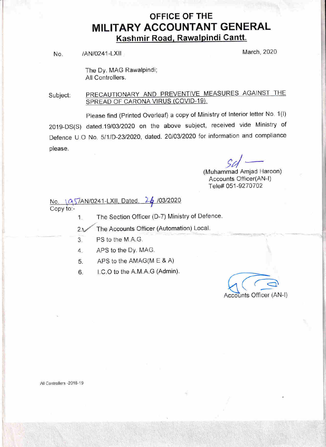## OFFICE OF THE **MILITARY ACCOUNTANT GENERAL** Kashmir Road, Rawalpindi Cantt.

No. /AN/0241-LXII , Narch, 2020

The Dy. MAG Rawalpindi; All Controllers.

PRECAUTIONARY AND PREVENTIVE MEASURES AGAINST THE Subject: SPREAD OF CARONA VIRUS (COVID-19).

Please find (Printed Overleaf) a copy of Ministry of Interior letter No. 1(I) 2019-DS(S) dated.19/03/2020 on the above subject, received vide Ministry of Defence U.O No. 5/1/D-23/2020, dated. 20/03/2020 for information and compliance please.

> I c,/ Iuhammad Amjad Hard<br>Accounts Officer(AN-l)  $\nu/$ (Muhammad Amjad Haroon) Tele# 051-9270702

26/03/2020 No. 1Q57AN/0241-LXII, Dated. Copy to:-

1. The Section Officer (D-7) Ministry of Defence.

The Accounts Officer (Automation) Local.  $2<sub>1</sub>$ 

3. PS to the M.A.G.

APS to the Dy. MAG.  $4.$ 

5 APS to the AMAG(M E & A)

6. I.C.O to the A.M.A.G (Admin).

G' Accounts Officer (AN-I)

All Controllers -2018-19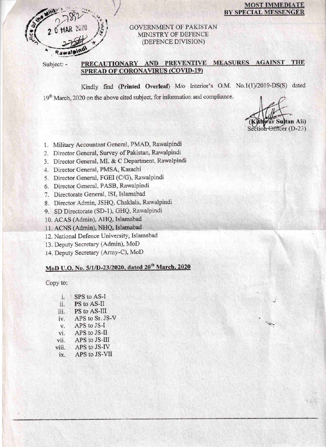

### **MOST IMMEDIATE** BY SPECIAL MESSENGER

### **GOVERNMENT OF PAKISTAN** MINISTRY OF DEFENCE (DEFENCE DIVISION)

Subject: -

## PRECAUTIONARY AND PREVENTIVE MEASURES AGAINST THE **SPREAD OF CORONAVIRUS (COVID-19)**

Kindly find (Printed Overleaf) M/o Interior's O.M. No.1(1)/2019-DS(S) dated 19<sup>th</sup> March, 2020 on the above cited subject, for information and compliance.

an Ali) ection Officer (D-23)

199

- 1. Military Accountant General, PMAD, Rawalpindi
- 2. Director General, Survey of Pakistan, Rawalpindi
- 3. Director General, ML & C Department, Rawalpindi
- 4. Director General, PMSA, Karachi
- 5. Director General, FGEI (C/G), Rawalpindi
- 6. Director General, PASB, Rawalpindi
- 7. Directorate General, ISI, Islamabad
- 8. Director Admin, JSHQ, Chaklala, Rawalpindi
- 9. SD Directorate (SD-1), GHQ, Rawalpindi
- 10. ACAS (Admin), AHQ, Islamabad
- 11. ACNS (Admin), NHQ, Islamabad
- 12. National Defence University, Islamabad
- 13. Deputy Secretary (Admin), MoD
- 14. Deputy Secretary (Army-C), MoD

# MoD U.O. No. 5/1/D-23/2020, dated 20<sup>th</sup> March, 2020

Copy to:

| i.          | SPS to AS-I     |
|-------------|-----------------|
| ii.         | PS to AS-II     |
| iii.        | PS to AS-III    |
| iv.         | APS to Sr. JS-V |
| $V_{\star}$ | APS to JS-I     |
| vi.         | APS to JS-II    |
| vii.        | APS to JS-III   |
| viii.       | APS to JS-IV    |
| ix.         | APS to JS-VII   |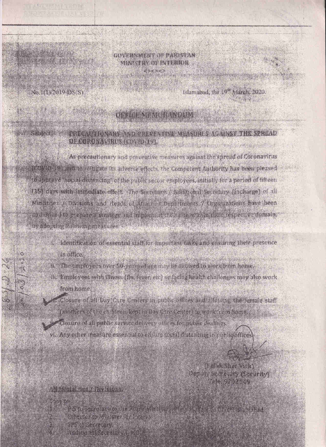#### VEHNATCHT OF PARTNIAN MANUTULOF INTERNIK  $H \rightarrow H$

**NEW HOME** 

**SIGHT STATE** 

 $\circ$ 

Islamabad, the 19<sup>or</sup> March, 2020.

## TICK MEMORIAN DIE

#### PRECAUDIONARY AND PREVIATIVE MEASURES AGAINST THE SPREAD **ORGULORWINDER COMPETING** 中国产生的基础的内部的一个部分有限的基础上的工业

As precautionary and preventive measures against the spread of Coronavirus (COMiD-19) and to mitigate its adverse effects, the Competent Authority has been pleased to a peaker social distancing of the public sector employees, initially for a period of fifteen. [15] days with immediate effect of he Secretary And huch it Secretary (Incharge) of all Ministers y Divisions and deads of Atlantiff from stimmts 7 throughtous rave been tu ben sel ta prepare a strategy mo mobility that he all new thin their respective domain. by Collecting Cols Compensations (educ-

- identification of essential staff for impurianciasks and ensuring their presence
	- in office.
- in The employees ever 50 years at me may be alateed to week from heads.
- iii. Employees with illness (flu, fever, etc) or fasting health challonges may also work. trom home.
- Closure of all Day Care Centers in public offices and allowing the ternale staff (nothers of the children kept in Day Carrienter) to work hem home.
- Closure of all public service delivery offices for public dealings.
- vi Any other massire essential to easily a municipality in publicatives.

**PUTTING MARKETING TO BE** 

- **Contractor** RACE CONTRACTOR CONTRACTO AND LOCAL 分配 在长沙的外部的过去式和过去分词 1. 人名沃德沃特
- AT LEAST THE TABLE

bis Elis Sherr Picks **ALGER A STREET AND RESIDENCE 大小市民 500 1000** 

4. 2019年11月11日